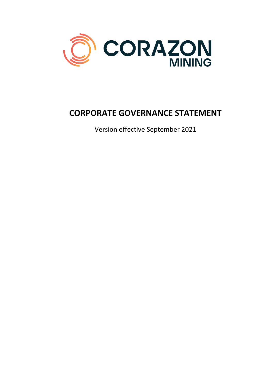

# **CORPORATE GOVERNANCE STATEMENT**

Version effective September 2021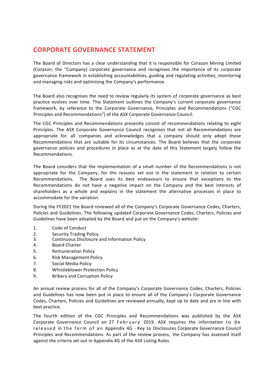### **CORPORATE GOVERNANCE STATEMENT**

The Board of Directors has a clear understanding that it is responsible for Corazon Mining Limited (Corazon, the "Company) corporate governance and recognises the importance of its corporate governance framework in establishing accountabilities, guiding and regulating activities, monitoring and managing risks and optimising the Company's performance.

The Board also recognises the need to review regularly its system of corporate governance as best practice evolves over time. This Statement outlines the Company's current corporate governance framework, by reference to the Corporate Governance, Principles and Recommendations ("CGC Principles and Recommendations") of the ASX Corporate Governance Council.

The CGC Principles and Recommendations presently consist of recommendations relating to eight Principles. The ASX Corporate Governance Council recognises that not all Recommendations are appropriate for all companies and acknowledges that a company should only adopt those Recommendations that are suitable for its circumstances. The Board believes that the corporate governance policies and procedures in place as at the date of this Statement largely follow the Recommendations. 

The Board considers that the implementation of a small number of the Recommendations is not appropriate for the Company, for the reasons set out in the statement in relation to certain Recommendations. The Board uses its best endeavours to ensure that exceptions to the Recommendations do not have a negative impact on the Company and the best interests of shareholders as a whole and explains in the statement the alternative processes in place to accommodate for the variation.

During the FY2021 the Board reviewed all of the Company's Corporate Governance Codes, Charters, Policies and Guidelines. The following updated Corporate Governance Codes, Charters, Policies and Guidelines have been adopted by the Board and put on the Company's website:

- 1. Code of Conduct
- 2. Security Trading Policy
- 3. Continuous Disclosure and Information Policy
- 4. Board Charter
- 5. Remuneration Policy
- 6. Risk Management Policy
- 7. Social Media Policy
- 8. Whistleblower Protection Policy
- 9. Bribery and Corruption Policy

An annual review process for all of the Company's Corporate Governance Codes, Charters, Policies and Guidelines has now been put in place to ensure all of the Company's Corporate Governance Codes, Charters, Policies and Guidelines are reviewed annually, kept up to date and are in line with best practice.

The fourth edition of the CGC Principles and Recommendations was published by the ASX Corporate Governance Council on 27 February 2019. ASX requires the information to be released in the form of an Appendix 4G - Key to Disclosures Corporate Governance Council Principles and Recommendations. As part of the review process, the Company has assessed itself against the criteria set out in Appendix 4G of the ASX Listing Rules.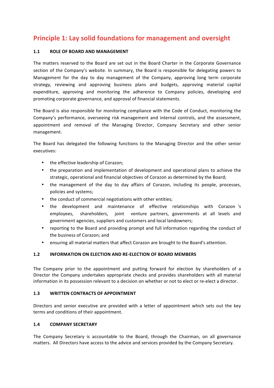### **Principle 1: Lay solid foundations for management and oversight**

#### 1.1 **ROLE OF BOARD AND MANAGEMENT**

The matters reserved to the Board are set out in the Board Charter in the Corporate Governance section of the Company's website. In summary, the Board is responsible for delegating powers to Management for the day to day management of the Company, approving long term corporate strategy, reviewing and approving business plans and budgets, approving material capital expenditure, approving and monitoring the adherence to Company policies, developing and promoting corporate governance, and approval of financial statements.

The Board is also responsible for monitoring compliance with the Code of Conduct, monitoring the Company's performance, overseeing risk management and internal controls, and the assessment, appointment and removal of the Managing Director, Company Secretary and other senior management.

The Board has delegated the following functions to the Managing Director and the other senior executives:

- the effective leadership of Corazon;
- the preparation and implementation of development and operational plans to achieve the strategic, operational and financial objectives of Corazon as determined by the Board;
- the management of the day to day affairs of Corazon, including its people, processes, policies and systems;
- the conduct of commercial negotiations with other entities;
- the development and maintenance of effective relationships with Corazon 's employees, shareholders, joint venture partners, governments at all levels and government agencies, suppliers and customers and local landowners;
- reporting to the Board and providing prompt and full information regarding the conduct of the business of Corazon; and
- ensuring all material matters that affect Corazon are brought to the Board's attention.

#### **1.2 INFORMATION ON ELECTION AND RE-ELECTION OF BOARD MEMBERS**

The Company prior to the appointment and putting forward for election by shareholders of a Director the Company undertakes appropriate checks and provides shareholders with all material information in its possession relevant to a decision on whether or not to elect or re-elect a director.

#### **1.3 WRITTEN CONTRACTS OF APPOINTMENT**

Directors and senior executive are provided with a letter of appointment which sets out the key terms and conditions of their appointment.

#### **1.4 COMPANY SECRETARY**

The Company Secretary is accountable to the Board, through the Chairman, on all governance matters. All Directors have access to the advice and services provided by the Company Secretary.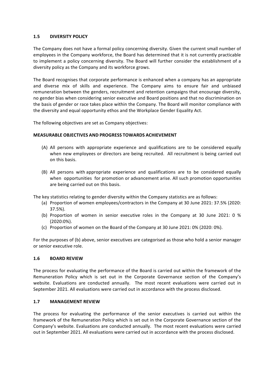#### **1.5 DIVERSITY POLICY**

The Company does not have a formal policy concerning diversity. Given the current small number of employees in the Company workforce, the Board has determined that it is not currently practicable to implement a policy concerning diversity. The Board will further consider the establishment of a diversity policy as the Company and its workforce grows.

The Board recognises that corporate performance is enhanced when a company has an appropriate and diverse mix of skills and experience. The Company aims to ensure fair and unbiased remuneration between the genders, recruitment and retention campaigns that encourage diversity, no gender bias when considering senior executive and Board positions and that no discrimination on the basis of gender or race takes place within the Company. The Board will monitor compliance with the diversity and equal opportunity ethos and the Workplace Gender Equality Act.

The following objectives are set as Company objectives:

#### **MEASURABLE OBJECTIVES AND PROGRESS TOWARDS ACHIEVEMENT**

- (A) All persons with appropriate experience and qualifications are to be considered equally when new employees or directors are being recruited. All recruitment is being carried out on this basis.
- (B) All persons with appropriate experience and qualifications are to be considered equally when opportunities for promotion or advancement arise. All such promotion opportunities are being carried out on this basis.

The key statistics relating to gender diversity within the Company statistics are as follows:

- (a) Proportion of women employees/contractors in the Company at 30 June 2021: 37.5% (2020: 37.5%).
- (b) Proportion of women in senior executive roles in the Company at 30 June 2021: 0 % (2020:0%).
- (c) Proportion of women on the Board of the Company at 30 June 2021:  $0\%$  (2020:  $0\%$ ).

For the purposes of (b) above, senior executives are categorised as those who hold a senior manager or senior executive role.

#### **1.6 BOARD REVIEW**

The process for evaluating the performance of the Board is carried out within the framework of the Remuneration Policy which is set out in the Corporate Governance section of the Company's website. Evaluations are conducted annually. The most recent evaluations were carried out in September 2021. All evaluations were carried out in accordance with the process disclosed.

#### **1.7 MANAGEMENT REVIEW**

The process for evaluating the performance of the senior executives is carried out within the framework of the Remuneration Policy which is set out in the Corporate Governance section of the Company's website. Evaluations are conducted annually. The most recent evaluations were carried out in September 2021. All evaluations were carried out in accordance with the process disclosed.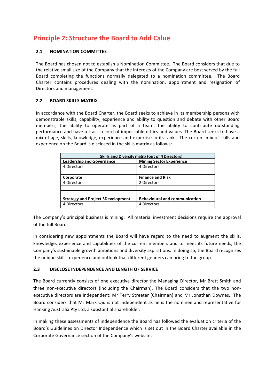### **Principle 2: Structure the Board to Add Calue**

#### **2.1 NOMINATION COMMITTEE**

The Board has chosen not to establish a Nomination Committee. The Board considers that due to the relative small size of the Company that the interests of the Company are best served by the full Board completing the functions normally delegated to a nomination committee. The Board Charter contains procedures dealing with the nomination, appointment and resignation of Directors and management.

#### **2.2 BOARD SKILLS MATRIX**

In accordance with the Board Charter, the Board seeks to achieve in its membership persons with demonstrable skills, capability, experience and ability to question and debate with other Board members, the ability to operate as part of a team, the ability to contribute outstanding performance and have a track record of impeccable ethics and values. The Board seeks to have a mix of age, skills, knowledge, experience and expertise in its ranks. The current mix of skills and experience on the Board is disclosed in the skills matrix as follows:

| <b>Skills and Diversity matrix (out of 4 Directors)</b> |                                      |
|---------------------------------------------------------|--------------------------------------|
| <b>Leadership and Governance</b>                        | <b>Mining Sector Experience</b>      |
| 4 Directors                                             | 4 Directors                          |
|                                                         |                                      |
| Corporate                                               | <b>Finance and Risk</b>              |
| 4 Directors                                             | 2 Directors                          |
|                                                         |                                      |
|                                                         |                                      |
| <b>Strategy and Project 5Development</b>                | <b>Behavioural and communication</b> |
| 4 Directors                                             | 4 Directors                          |

The Company's principal business is mining. All material investment decisions require the approval of the full Board.

In considering new appointments the Board will have regard to the need to augment the skills, knowledge, experience and capabilities of the current members and to meet its future needs, the Company's sustainable growth ambitions and diversity aspirations. In doing so, the Board recognises the unique skills, experience and outlook that different genders can bring to the group.

#### **2.3 DISCLOSE INDEPENDENCE AND LENGTH OF SERVICE**

The Board currently consists of one executive director the Managing Director, Mr Brett Smith and three non-executive directors (including the Chairman). The Board considers that the two nonexecutive directors are independent: Mr Terry Streeter (Chairman) and Mr Jonathan Downes. The Board considers that Mr Mark Qiu is not independent as he is the nominee and representative for Hanking Australia Pty Ltd, a substantial shareholder.

In making these assessments of independence the Board has followed the evaluation criteria of the Board's Guidelines on Director Independence which is set out in the Board Charter available in the Corporate Governance section of the Company's website.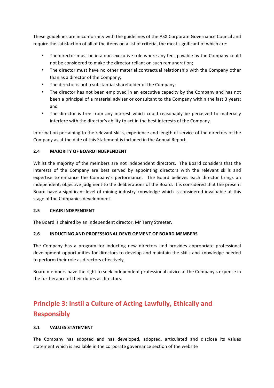These guidelines are in conformity with the guidelines of the ASX Corporate Governance Council and require the satisfaction of all of the items on a list of criteria, the most significant of which are:

- The director must be in a non-executive role where any fees payable by the Company could not be considered to make the director reliant on such remuneration;
- The director must have no other material contractual relationship with the Company other than as a director of the Company;
- The director is not a substantial shareholder of the Company;
- The director has not been employed in an executive capacity by the Company and has not been a principal of a material adviser or consultant to the Company within the last 3 years; and
- The director is free from any interest which could reasonably be perceived to materially interfere with the director's ability to act in the best interests of the Company.

Information pertaining to the relevant skills, experience and length of service of the directors of the Company as at the date of this Statement is included in the Annual Report.

#### **2.4 MAJORITY OF BOARD INDEPENDENT**

Whilst the majority of the members are not independent directors. The Board considers that the interests of the Company are best served by appointing directors with the relevant skills and expertise to enhance the Company's performance. The Board believes each director brings an independent, objective judgment to the deliberations of the Board. It is considered that the present Board have a significant level of mining industry knowledge which is considered invaluable at this stage of the Companies development.

#### **2.5 CHAIR INDEPENDENT**

The Board is chaired by an independent director, Mr Terry Streeter.

#### **2.6 INDUCTING AND PROFESSIONAL DEVELOPMENT OF BOARD MEMBERS**

The Company has a program for inducting new directors and provides appropriate professional development opportunities for directors to develop and maintain the skills and knowledge needed to perform their role as directors effectively.

Board members have the right to seek independent professional advice at the Company's expense in the furtherance of their duties as directors.

## **Principle 3: Instil a Culture of Acting Lawfully, Ethically and Responsibly**

#### **3.1 VALUES STATEMENT**

The Company has adopted and has developed, adopted, articulated and disclose its values statement which is available in the corporate governance section of the website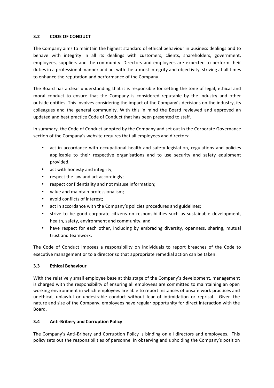#### **3.2 CODE OF CONDUCT**

The Company aims to maintain the highest standard of ethical behaviour in business dealings and to behave with integrity in all its dealings with customers, clients, shareholders, government, employees, suppliers and the community. Directors and employees are expected to perform their duties in a professional manner and act with the utmost integrity and objectivity, striving at all times to enhance the reputation and performance of the Company.

The Board has a clear understanding that it is responsible for setting the tone of legal, ethical and moral conduct to ensure that the Company is considered reputable by the industry and other outside entities. This involves considering the impact of the Company's decisions on the industry, its colleagues and the general community. With this in mind the Board reviewed and approved an updated and best practice Code of Conduct that has been presented to staff.

In summary, the Code of Conduct adopted by the Company and set out in the Corporate Governance section of the Company's website requires that all employees and directors:

- act in accordance with occupational health and safety legislation, regulations and policies applicable to their respective organisations and to use security and safety equipment provided;
- act with honesty and integrity;
- respect the law and act accordingly;
- respect confidentiality and not misuse information;
- value and maintain professionalism:
- avoid conflicts of interest;
- act in accordance with the Company's policies procedures and guidelines;
- strive to be good corporate citizens on responsibilities such as sustainable development, health, safety, environment and community; and
- have respect for each other, including by embracing diversity, openness, sharing, mutual trust and teamwork.

The Code of Conduct imposes a responsibility on individuals to report breaches of the Code to executive management or to a director so that appropriate remedial action can be taken.

#### **3.3 Ethical Behaviour**

With the relatively small employee base at this stage of the Company's development, management is charged with the responsibility of ensuring all employees are committed to maintaining an open working environment in which employees are able to report instances of unsafe work practices and unethical, unlawful or undesirable conduct without fear of intimidation or reprisal. Given the nature and size of the Company, employees have regular opportunity for direct interaction with the Board.

#### **3.4 Anti-Bribery and Corruption Policy**

The Company's Anti-Bribery and Corruption Policy is binding on all directors and employees. This policy sets out the responsibilities of personnel in observing and upholding the Company's position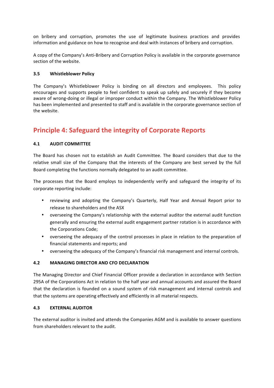on bribery and corruption, promotes the use of legitimate business practices and provides information and guidance on how to recognise and deal with instances of bribery and corruption.

A copy of the Company's Anti-Bribery and Corruption Policy is available in the corporate governance section of the website.

#### **3.5 Whistleblower Policy**

The Company's Whistleblower Policy is binding on all directors and employees. This policy encourages and supports people to feel confident to speak up safely and securely if they become aware of wrong-doing or illegal or improper conduct within the Company. The Whistleblower Policy has been implemented and presented to staff and is available in the corporate governance section of the website.

### **Principle 4: Safeguard the integrity of Corporate Reports**

#### **4.1 AUDIT COMMITTEE**

The Board has chosen not to establish an Audit Committee. The Board considers that due to the relative small size of the Company that the interests of the Company are best served by the full Board completing the functions normally delegated to an audit committee.

The processes that the Board employs to independently verify and safeguard the integrity of its corporate reporting include:

- reviewing and adopting the Company's Quarterly, Half Year and Annual Report prior to release to shareholders and the ASX
- overseeing the Company's relationship with the external auditor the external audit function generally and ensuring the external audit engagement partner rotation is in accordance with the Corporations Code;
- overseeing the adequacy of the control processes in place in relation to the preparation of financial statements and reports; and
- overseeing the adequacy of the Company's financial risk management and internal controls.

#### **4.2 MANAGING DIRECTOR AND CFO DECLARATION**

The Managing Director and Chief Financial Officer provide a declaration in accordance with Section 295A of the Corporations Act in relation to the half year and annual accounts and assured the Board that the declaration is founded on a sound system of risk management and internal controls and that the systems are operating effectively and efficiently in all material respects.

#### **4.3 EXTERNAL AUDITOR**

The external auditor is invited and attends the Companies AGM and is available to answer questions from shareholders relevant to the audit.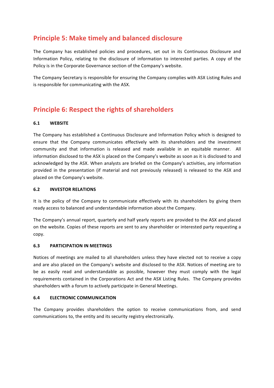### **Principle 5: Make timely and balanced disclosure**

The Company has established policies and procedures, set out in its Continuous Disclosure and Information Policy, relating to the disclosure of information to interested parties. A copy of the Policy is in the Corporate Governance section of the Company's website.

The Company Secretary is responsible for ensuring the Company complies with ASX Listing Rules and is responsible for communicating with the ASX.

### **Principle 6: Respect the rights of shareholders**

#### **6.1 WEBSITE**

The Company has established a Continuous Disclosure and Information Policy which is designed to ensure that the Company communicates effectively with its shareholders and the investment community and that information is released and made available in an equitable manner. All information disclosed to the ASX is placed on the Company's website as soon as it is disclosed to and acknowledged by the ASX. When analysts are briefed on the Company's activities, any information provided in the presentation (if material and not previously released) is released to the ASX and placed on the Company's website.

#### **6.2 INVESTOR RELATIONS**

It is the policy of the Company to communicate effectively with its shareholders by giving them ready access to balanced and understandable information about the Company.

The Company's annual report, quarterly and half yearly reports are provided to the ASX and placed on the website. Copies of these reports are sent to any shareholder or interested party requesting a copy.

#### **6.3 PARTICIPATION IN MEETINGS**

Notices of meetings are mailed to all shareholders unless they have elected not to receive a copy and are also placed on the Company's website and disclosed to the ASX. Notices of meeting are to be as easily read and understandable as possible, however they must comply with the legal requirements contained in the Corporations Act and the ASX Listing Rules. The Company provides shareholders with a forum to actively participate in General Meetings.

#### **6.4 ELECTRONIC COMMUNICATION**

The Company provides shareholders the option to receive communications from, and send communications to, the entity and its security registry electronically.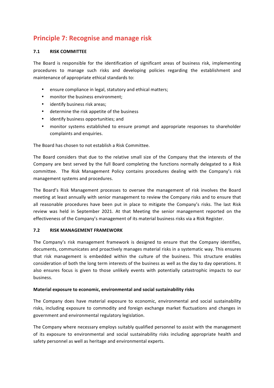### **Principle 7: Recognise and manage risk**

#### **7.1 RISK COMMITTEE**

The Board is responsible for the identification of significant areas of business risk, implementing procedures to manage such risks and developing policies regarding the establishment and maintenance of appropriate ethical standards to:

- ensure compliance in legal, statutory and ethical matters;
- monitor the business environment;
- identify business risk areas;
- determine the risk appetite of the business
- identify business opportunities; and
- monitor systems established to ensure prompt and appropriate responses to shareholder complaints and enquiries.

The Board has chosen to not establish a Risk Committee.

The Board considers that due to the relative small size of the Company that the interests of the Company are best served by the full Board completing the functions normally delegated to a Risk committee. The Risk Management Policy contains procedures dealing with the Company's risk management systems and procedures.

The Board's Risk Management processes to oversee the management of risk involves the Board meeting at least annually with senior management to review the Company risks and to ensure that all reasonable procedures have been put in place to mitigate the Company's risks. The last Risk review was held in September 2021. At that Meeting the senior management reported on the effectiveness of the Company's management of its material business risks via a Risk Register.

#### **7.2 RISK MANAGEMENT FRAMEWORK**

The Company's risk management framework is designed to ensure that the Company identifies, documents, communicates and proactively manages material risks in a systematic way. This ensures that risk management is embedded within the culture of the business. This structure enables consideration of both the long term interests of the business as well as the day to day operations. It also ensures focus is given to those unlikely events with potentially catastrophic impacts to our business.

#### **Material exposure to economic, environmental and social sustainability risks**

The Company does have material exposure to economic, environmental and social sustainability risks, including exposure to commodity and foreign exchange market fluctuations and changes in government and environmental regulatory legislation.

The Company where necessary employs suitably qualified personnel to assist with the management of its exposure to environmental and social sustainability risks including appropriate health and safety personnel as well as heritage and environmental experts.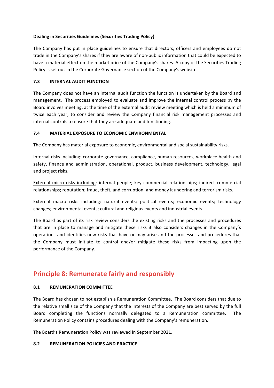#### **Dealing in Securities Guidelines (Securities Trading Policy)**

The Company has put in place guidelines to ensure that directors, officers and employees do not trade in the Company's shares if they are aware of non-public information that could be expected to have a material effect on the market price of the Company's shares. A copy of the Securities Trading Policy is set out in the Corporate Governance section of the Company's website.

#### **7.3 INTERNAL AUDIT FUNCTION**

The Company does not have an internal audit function the function is undertaken by the Board and management. The process employed to evaluate and improve the internal control process by the Board involves meeting, at the time of the external audit review meeting which is held a minimum of twice each year, to consider and review the Company financial risk management processes and internal controls to ensure that they are adequate and functioning.

#### **7.4 MATERIAL EXPOSURE TO ECONOMIC ENVIRONMENTAL**

The Company has material exposure to economic, environmental and social sustainability risks.

Internal risks including: corporate governance, compliance, human resources, workplace health and safety, finance and administration, operational, product, business development, technology, legal and project risks.

External micro risks including: internal people; key commercial relationships; indirect commercial relationships; reputation; fraud, theft, and corruption; and money laundering and terrorism risks.

External macro risks including: natural events; political events; economic events; technology changes; environmental events; cultural and religious events and industrial events.

The Board as part of its risk review considers the existing risks and the processes and procedures that are in place to manage and mitigate these risks it also considers changes in the Company's operations and identifies new risks that have or may arise and the processes and procedures that the Company must initiate to control and/or mitigate these risks from impacting upon the performance of the Company.

### **Principle 8: Remunerate fairly and responsibly**

#### **8.1 REMUNERATION COMMITTEE**

The Board has chosen to not establish a Remuneration Committee. The Board considers that due to the relative small size of the Company that the interests of the Company are best served by the full Board completing the functions normally delegated to a Remuneration committee. The Remuneration Policy contains procedures dealing with the Company's remuneration.

The Board's Remuneration Policy was reviewed in September 2021.

#### **8.2 REMUNERATION POLICIES AND PRACTICE**